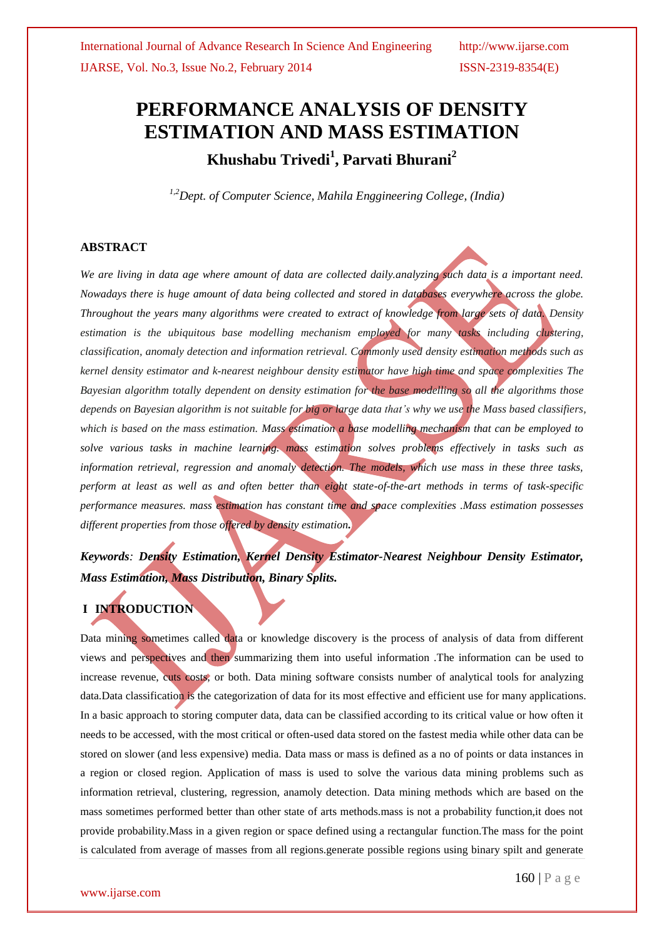# **PERFORMANCE ANALYSIS OF DENSITY ESTIMATION AND MASS ESTIMATION Khushabu Trivedi<sup>1</sup> , Parvati Bhurani<sup>2</sup>**

 *1,2Dept. of Computer Science, Mahila Enggineering College, (India)*

# **ABSTRACT**

*We are living in data age where amount of data are collected daily.analyzing such data is a important need. Nowadays there is huge amount of data being collected and stored in databases everywhere across the globe. Throughout the years many algorithms were created to extract of knowledge from large sets of data. Density estimation is the ubiquitous base modelling mechanism employed for many tasks including clustering, classification, anomaly detection and information retrieval. Commonly used density estimation methods such as kernel density estimator and k-nearest neighbour density estimator have high time and space complexities The Bayesian algorithm totally dependent on density estimation for the base modelling so all the algorithms those depends on Bayesian algorithm is not suitable for big or large data that's why we use the Mass based classifiers, which is based on the mass estimation. Mass estimation a base modelling mechanism that can be employed to solve various tasks in machine learning. mass estimation solves problems effectively in tasks such as information retrieval, regression and anomaly detection. The models, which use mass in these three tasks, perform at least as well as and often better than eight state-of-the-art methods in terms of task-specific performance measures. mass estimation has constant time and space complexities .Mass estimation possesses different properties from those offered by density estimation.*

*Keywords: Density Estimation, Kernel Density Estimator-Nearest Neighbour Density Estimator, Mass Estimation, Mass Distribution, Binary Splits.*

# **I INTRODUCTION**

Data mining sometimes called data or knowledge discovery is the process of analysis of data from different views and perspectives and then summarizing them into useful information .The information can be used to increase revenue, cuts costs, or both. Data mining software consists number of analytical tools for analyzing data.Data classification is the categorization of data for its most effective and efficient use for many applications. In a basic approach to storing computer data, data can be classified according to its critical value or how often it needs to be accessed, with the most critical or often-used data stored on the fastest media while other data can be stored on slower (and less expensive) media. Data mass or mass is defined as a no of points or data instances in a region or closed region. Application of mass is used to solve the various data mining problems such as information retrieval, clustering, regression, anamoly detection. Data mining methods which are based on the mass sometimes performed better than other state of arts methods.mass is not a probability function,it does not provide probability.Mass in a given region or space defined using a rectangular function.The mass for the point is calculated from average of masses from all regions.generate possible regions using binary spilt and generate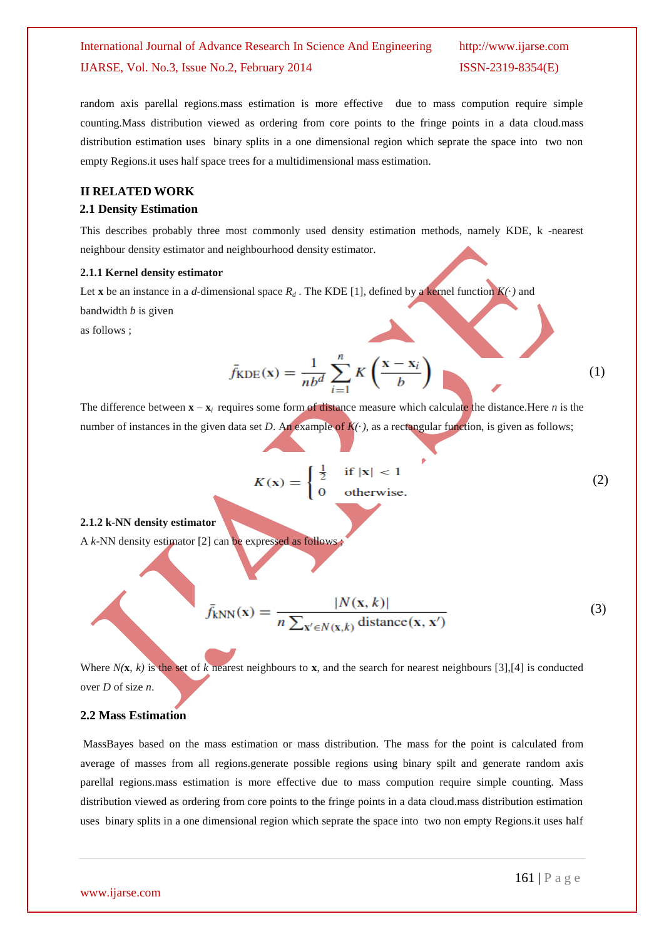random axis parellal regions.mass estimation is more effective due to mass compution require simple counting.Mass distribution viewed as ordering from core points to the fringe points in a data cloud.mass distribution estimation uses binary splits in a one dimensional region which seprate the space into two non empty Regions.it uses half space trees for a multidimensional mass estimation.

### **II RELATED WORK**

#### **2.1 Density Estimation**

This describes probably three most commonly used density estimation methods, namely KDE, k -nearest neighbour density estimator and neighbourhood density estimator.

#### **2.1.1 Kernel density estimator**

Let **x** be an instance in a *d*-dimensional space  $R_d$ . The KDE [1], defined by a kernel function  $K(\cdot)$  and bandwidth *b* is given

as follows ;

$$
\bar{f}_{\text{KDE}}(\mathbf{x}) = \frac{1}{nb^d} \sum_{i=1}^n K\left(\frac{\mathbf{x} - \mathbf{x}_i}{b}\right) \tag{1}
$$

The difference between  $\mathbf{x} - \mathbf{x}_i$  requires some form of distance measure which calculate the distance. Here *n* is the number of instances in the given data set *D*. An example of  $K(\cdot)$ , as a rectangular function, is given as follows;

$$
K(\mathbf{x}) = \begin{cases} \frac{1}{2} & \text{if } |\mathbf{x}| < 1 \\ 0 & \text{otherwise.} \end{cases} \tag{2}
$$

#### **2.1.2 k-NN density estimator**

A *k*-NN density estimator [2] can be expressed as follows ;

$$
\bar{f}_{kNN}(\mathbf{x}) = \frac{|N(\mathbf{x}, k)|}{n \sum_{\mathbf{x}' \in N(\mathbf{x}, k)} \text{distance}(\mathbf{x}, \mathbf{x}')}
$$
(3)

Where  $N(\mathbf{x}, k)$  is the set of  $k$  nearest neighbours to  $\mathbf{x}$ , and the search for nearest neighbours [3],[4] is conducted over *D* of size *n*.

### **2.2 Mass Estimation**

MassBayes based on the mass estimation or mass distribution. The mass for the point is calculated from average of masses from all regions.generate possible regions using binary spilt and generate random axis parellal regions.mass estimation is more effective due to mass compution require simple counting. Mass distribution viewed as ordering from core points to the fringe points in a data cloud.mass distribution estimation uses binary splits in a one dimensional region which seprate the space into two non empty Regions.it uses half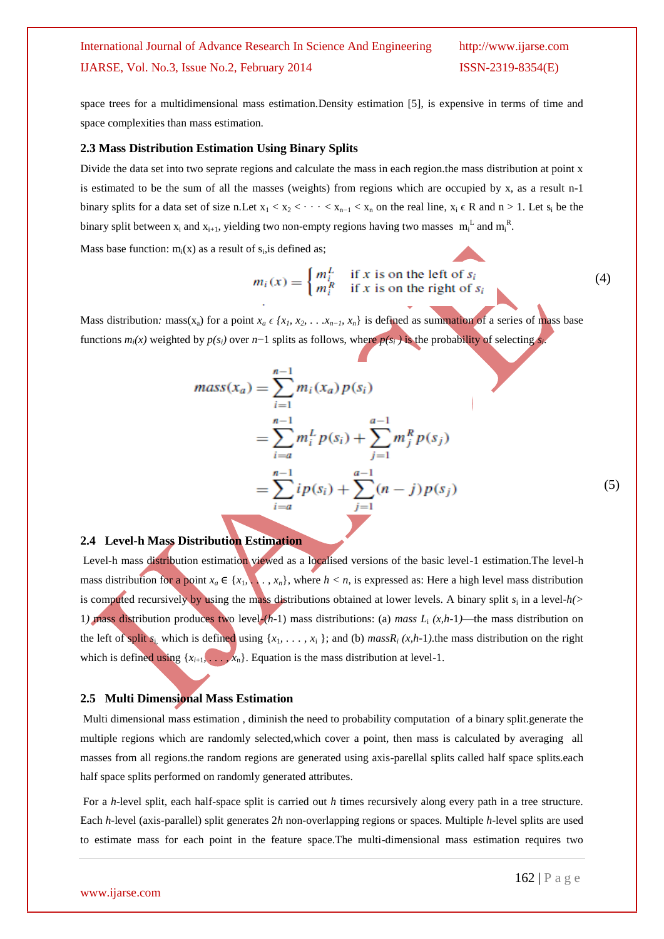space trees for a multidimensional mass estimation.Density estimation [5], is expensive in terms of time and space complexities than mass estimation.

#### **2.3 Mass Distribution Estimation Using Binary Splits**

Divide the data set into two seprate regions and calculate the mass in each region.the mass distribution at point x is estimated to be the sum of all the masses (weights) from regions which are occupied by x, as a result n-1 binary splits for a data set of size n.Let  $x_1 < x_2 < \cdots < x_{n-1} < x_n$  on the real line,  $x_i \in R$  and  $n > 1$ . Let  $s_i$  be the binary split between  $x_i$  and  $x_{i+1}$ , yielding two non-empty regions having two masses  $m_i^L$  and  $m_i^R$ .

Mass base function:  $m_i(x)$  as a result of  $s_i$ , is defined as;

$$
m_i(x) = \begin{cases} m_i^L & \text{if } x \text{ is on the left of } s_i \\ m_i^R & \text{if } x \text{ is on the right of } s_i \end{cases}
$$
 (4)

Mass distribution: mass(x<sub>a</sub>) for a point  $x_a \in \{x_1, x_2, \ldots x_{n-1}, x_n\}$  is defined as summation of a series of mass base functions  $m_i(x)$  weighted by  $p(s_i)$  over  $n-1$  splits as follows, where  $p(s_i)$  is the probability of selecting  $s_i$ .

$$
mass(x_a) = \sum_{i=1}^{n-1} m_i(x_a) p(s_i)
$$
  
= 
$$
\sum_{i=a}^{n-1} m_i^L p(s_i) + \sum_{j=1}^{a-1} m_j^R p(s_j)
$$
  
= 
$$
\sum_{i=a}^{n-1} i p(s_i) + \sum_{j=1}^{a-1} (n-j) p(s_j)
$$
 (5)

#### **2.4****Level-h Mass Distribution Estimation**

Level-h mass distribution estimation viewed as a localised versions of the basic level-1 estimation.The level-h mass distribution for a point  $x_a \in \{x_1, \ldots, x_n\}$ , where  $h < n$ , is expressed as: Here a high level mass distribution is computed recursively by using the mass distributions obtained at lower levels. A binary split  $s_i$  in a level- $h(>$ 1) mass distribution produces two level- $(h-1)$  mass distributions: (a) mass  $L_i(x,h-1)$ —the mass distribution on the left of split  $s_i$ , which is defined using  $\{x_1, \ldots, x_i\}$ ; and (b) *massR<sub>i</sub>*  $(x,h-1)$ .the mass distribution on the right which is defined using  $\{x_{i+1}, \ldots, x_n\}$ . Equation is the mass distribution at level-1.

#### **2.5 Multi Dimensional Mass Estimation**

Multi dimensional mass estimation , diminish the need to probability computation of a binary split.generate the multiple regions which are randomly selected,which cover a point, then mass is calculated by averaging all masses from all regions.the random regions are generated using axis-parellal splits called half space splits.each half space splits performed on randomly generated attributes.

For a *h*-level split, each half-space split is carried out *h* times recursively along every path in a tree structure. Each *h*-level (axis-parallel) split generates 2*h* non-overlapping regions or spaces. Multiple *h*-level splits are used to estimate mass for each point in the feature space.The multi-dimensional mass estimation requires two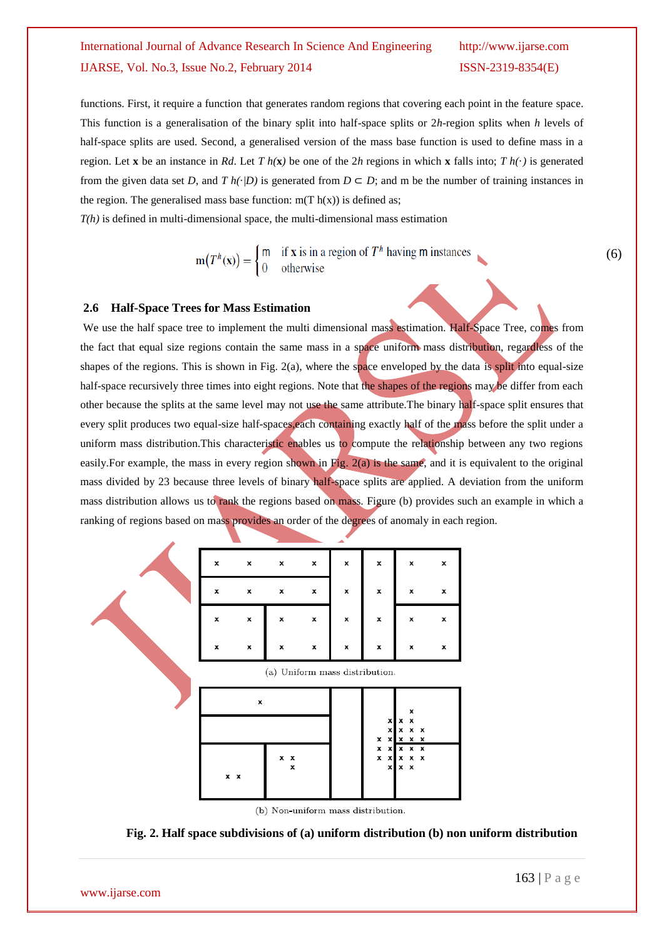functions. First, it require a function that generates random regions that covering each point in the feature space. This function is a generalisation of the binary split into half-space splits or 2*h*-region splits when *h* levels of half-space splits are used. Second, a generalised version of the mass base function is used to define mass in a region. Let **x** be an instance in *Rd*. Let *T*  $h(\mathbf{x})$  be one of the 2*h* regions in which **x** falls into; *T*  $h(\cdot)$  is generated from the given data set *D*, and *T*  $h(\cdot|D)$  is generated from  $D \subset D$ ; and m be the number of training instances in the region. The generalised mass base function:  $m(T h(x))$  is defined as;

*T(h)* is defined in multi-dimensional space, the multi-dimensional mass estimation

$$
\mathbf{m}(T^h(\mathbf{x})) = \begin{cases} \mathbf{m} & \text{if } \mathbf{x} \text{ is in a region of } T^h \text{ having } \mathbf{m} \text{ instances} \\ 0 & \text{otherwise} \end{cases}
$$

(6)

### **2.6 Half-Space Trees for Mass Estimation**

We use the half space tree to implement the multi dimensional mass estimation. Half-Space Tree, comes from the fact that equal size regions contain the same mass in a space uniform mass distribution, regardless of the shapes of the regions. This is shown in Fig. 2(a), where the space enveloped by the data is split into equal-size half-space recursively three times into eight regions. Note that the shapes of the regions may be differ from each other because the splits at the same level may not use the same attribute.The binary half-space split ensures that every split produces two equal-size half-spaces,each containing exactly half of the mass before the split under a uniform mass distribution.This characteristic enables us to compute the relationship between any two regions easily. For example, the mass in every region shown in Fig.  $2(a)$  is the same, and it is equivalent to the original mass divided by 23 because three levels of binary half-space splits are applied. A deviation from the uniform mass distribution allows us to rank the regions based on mass. Figure (b) provides such an example in which a ranking of regions based on mass provides an order of the degrees of anomaly in each region.



(b) Non-uniform mass distribution.

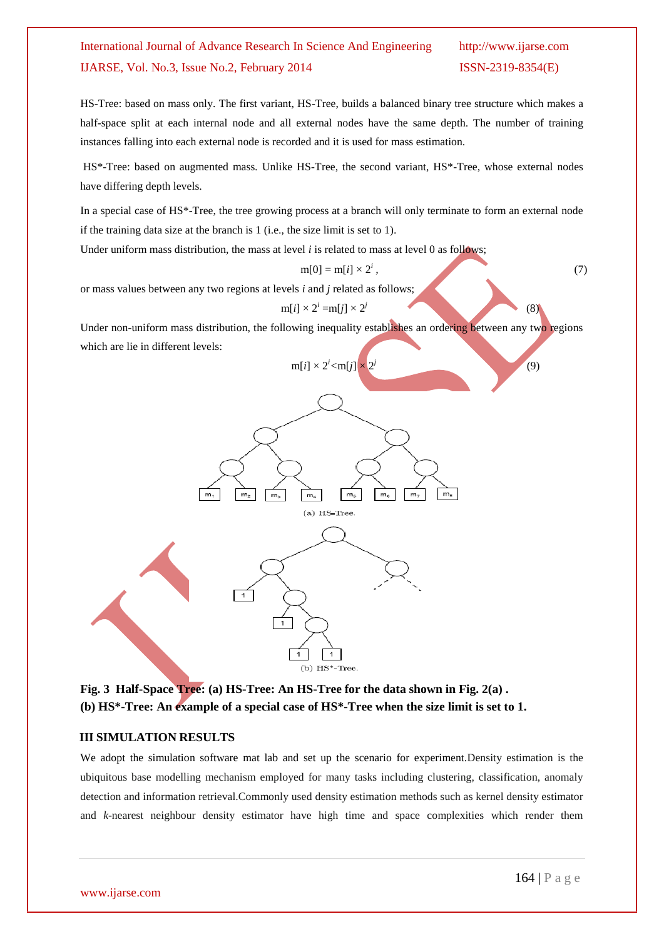HS-Tree: based on mass only. The first variant, HS-Tree, builds a balanced binary tree structure which makes a half-space split at each internal node and all external nodes have the same depth. The number of training instances falling into each external node is recorded and it is used for mass estimation.

HS\*-Tree: based on augmented mass*.* Unlike HS-Tree, the second variant, HS\*-Tree, whose external nodes have differing depth levels.

In a special case of HS\*-Tree, the tree growing process at a branch will only terminate to form an external node if the training data size at the branch is 1 (i.e., the size limit is set to 1).

Under uniform mass distribution, the mass at level *i* is related to mass at level 0 as follows;

$$
m[0] = m[i] \times 2^i, \tag{7}
$$

*j*

or mass values between any two regions at levels *i* and *j* related as follows;

 $m[i] \times 2^i = m[j] \times 2^j$ (8)

Under non-uniform mass distribution, the following inequality establishes an ordering between any two regions which are lie in different levels:



**Fig. 3 Half-Space Tree: (a) HS-Tree: An HS-Tree for the data shown in Fig. 2(a) . (b) HS\*-Tree: An example of a special case of HS\*-Tree when the size limit is set to 1.**

# **III SIMULATION RESULTS**

We adopt the simulation software mat lab and set up the scenario for experiment.Density estimation is the ubiquitous base modelling mechanism employed for many tasks including clustering, classification, anomaly detection and information retrieval.Commonly used density estimation methods such as kernel density estimator and *k*-nearest neighbour density estimator have high time and space complexities which render them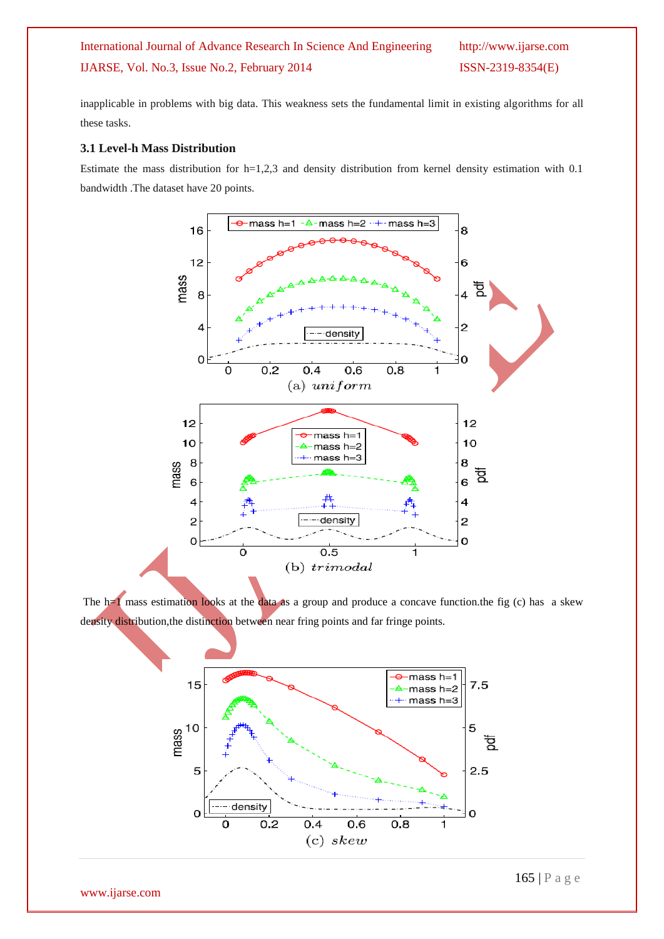inapplicable in problems with big data. This weakness sets the fundamental limit in existing algorithms for all these tasks.

### **3.1 Level-h Mass Distribution**

Estimate the mass distribution for  $h=1,2,3$  and density distribution from kernel density estimation with 0.1 bandwidth .The dataset have 20 points.



The  $h=1$  mass estimation looks at the data as a group and produce a concave function.the fig (c) has a skew density distribution,the distinction between near fring points and far fringe points.